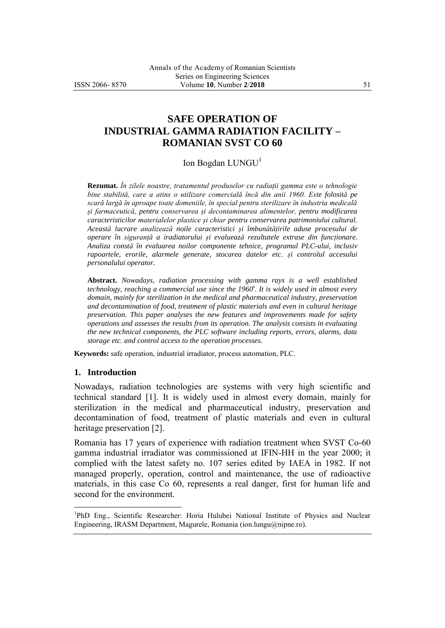# **SAFE OPERATION OF INDUSTRIAL GAMMA RADIATION FACILITY – ROMANIAN SVST CO 60**

### Ion Bogdan LUNGU<sup>1</sup>

**Rezumat.** *În zilele noastre, tratamentul produselor cu radiații gamma este o tehnologie bine stabilită, care a atins o utilizare comercială încă din anii 1960. Este folosită pe scară largă în aproape toate domeniile, în special pentru sterilizare în industria medicală și farmaceutică, pentru conservarea și decontaminarea alimentelor, pentru modificarea caracteristicilor materialelor plastice și chiar pentru conservarea patrimoniului cultural. Această lucrare analizează noile caracteristici și îmbunătățirile aduse procesului de operare în siguranță a iradiatorului și evaluează rezultatele extrase din funcționare. Analiza constă în evaluarea noilor componente tehnice, programul PLC-ului, inclusiv rapoartele, erorile, alarmele generate, stocarea datelor etc. și controlul accesului personalului operator.*

**Abstract.** *Nowadays, radiation processing with gamma rays is a well established technology, reaching a commercial use since the 1960<sup>s</sup> . It is widely used in almost every domain, mainly for sterilization in the medical and pharmaceutical industry, preservation and decontamination of food, treatment of plastic materials and even in cultural heritage preservation. This paper analyses the new features and improvements made for safety operations and assesses the results from its operation. The analysis consists in evaluating the new technical components, the PLC software including reports, errors, alarms, data storage etc. and control access to the operation processes.* 

**Keywords:** safe operation, industrial irradiator, process automation, PLC.

#### **1. Introduction**

 $\overline{a}$ 

Nowadays, radiation technologies are systems with very high scientific and technical standard [1]. It is widely used in almost every domain, mainly for sterilization in the medical and pharmaceutical industry, preservation and decontamination of food, treatment of plastic materials and even in cultural heritage preservation [2].

Romania has 17 years of experience with radiation treatment when SVST Co-60 gamma industrial irradiator was commissioned at IFIN-HH in the year 2000; it complied with the latest safety no. 107 series edited by IAEA in 1982. If not managed properly, operation, control and maintenance, the use of radioactive materials, in this case Co 60, represents a real danger, first for human life and second for the environment.

<sup>&</sup>lt;sup>1</sup>PhD Eng., Scientific Researcher: Horia Hulubei National Institute of Physics and Nuclear Engineering, IRASM Department, Magurele, Romania (ion.lungu@nipne.ro).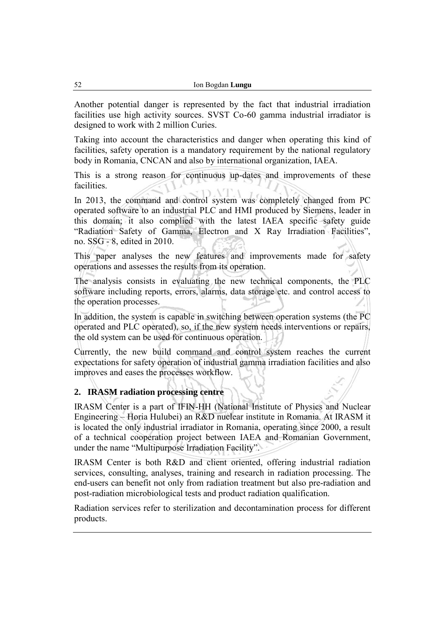Another potential danger is represented by the fact that industrial irradiation facilities use high activity sources. SVST Co-60 gamma industrial irradiator is designed to work with 2 million Curies.

Taking into account the characteristics and danger when operating this kind of facilities, safety operation is a mandatory requirement by the national regulatory body in Romania, CNCAN and also by international organization, IAEA.

This is a strong reason for continuous up-dates and improvements of these facilities.

In 2013, the command and control system was completely changed from PC operated software to an industrial PLC and HMI produced by Siemens, leader in this domain; it also complied with the latest IAEA specific safety guide "Radiation Safety of Gamma, Electron and X Ray Irradiation Facilities", no. SSG - 8, edited in 2010.

This paper analyses the new features and improvements made for safety operations and assesses the results from its operation.

The analysis consists in evaluating the new technical components, the PLC software including reports, errors, alarms, data storage etc. and control access to the operation processes.

In addition, the system is capable in switching between operation systems (the PC operated and PLC operated), so, if the new system needs interventions or repairs, the old system can be used for continuous operation.

Currently, the new build command and control system reaches the current expectations for safety operation of industrial gamma irradiation facilities and also improves and eases the processes workflow.

# **2. IRASM radiation processing centre**

IRASM Center is a part of IFIN-HH (National Institute of Physics and Nuclear Engineering – Horia Hulubei) an R&D nuclear institute in Romania. At IRASM it is located the only industrial irradiator in Romania, operating since 2000, a result of a technical cooperation project between IAEA and Romanian Government, under the name "Multipurpose Irradiation Facility".

IRASM Center is both R&D and client oriented, offering industrial radiation services, consulting, analyses, training and research in radiation processing. The end-users can benefit not only from radiation treatment but also pre-radiation and post-radiation microbiological tests and product radiation qualification.

Radiation services refer to sterilization and decontamination process for different products.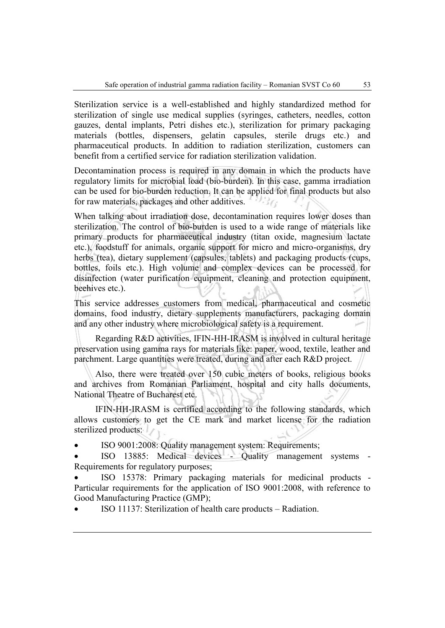Sterilization service is a well-established and highly standardized method for sterilization of single use medical supplies (syringes, catheters, needles, cotton gauzes, dental implants, Petri dishes etc.), sterilization for primary packaging materials (bottles, dispensers, gelatin capsules, sterile drugs etc.) and pharmaceutical products. In addition to radiation sterilization, customers can benefit from a certified service for radiation sterilization validation.

Decontamination process is required in any domain in which the products have regulatory limits for microbial load (bio-burden). In this case, gamma irradiation can be used for bio-burden reduction. It can be applied for final products but also for raw materials, packages and other additives. り言ん

When talking about irradiation dose, decontamination requires lower doses than sterilization. The control of bio-burden is used to a wide range of materials like primary products for pharmaceutical industry (titan oxide, magnesium lactate etc.), foodstuff for animals, organic support for micro and micro-organisms, dry herbs (tea), dietary supplement (capsules, tablets) and packaging products (cups, bottles, foils etc.). High volume and complex devices can be processed for disinfection (water purification equipment, cleaning and protection equipment, beehives etc.).

This service addresses customers from medical, pharmaceutical and cosmetic domains, food industry, dietary supplements manufacturers, packaging domain and any other industry where microbiological safety is a requirement.

Regarding R&D activities, IFIN-HH-IRASM is involved in cultural heritage preservation using gamma rays for materials like: paper, wood, textile, leather and parchment. Large quantities were treated, during and after each R&D project.

Also, there were treated over 150 cubic meters of books, religious books and archives from Romanian Parliament, hospital and city halls documents, National Theatre of Bucharest etc.

IFIN-HH-IRASM is certified according to the following standards, which allows customers to get the CE mark and market license for the radiation sterilized products:

ISO 9001:2008: Quality management system: Requirements;

 ISO 13885: Medical devices - Quality management systems - Requirements for regulatory purposes;

 ISO 15378: Primary packaging materials for medicinal products - Particular requirements for the application of ISO 9001:2008, with reference to Good Manufacturing Practice (GMP);

ISO 11137: Sterilization of health care products – Radiation.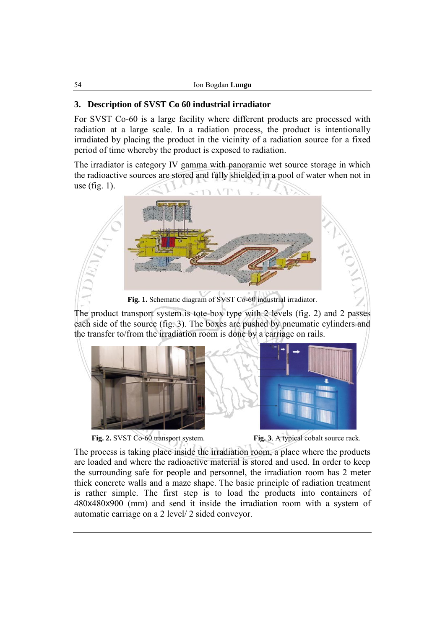# **3. Description of SVST Co 60 industrial irradiator**

For SVST Co-60 is a large facility where different products are processed with radiation at a large scale. In a radiation process, the product is intentionally irradiated by placing the product in the vicinity of a radiation source for a fixed period of time whereby the product is exposed to radiation.

The irradiator is category IV gamma with panoramic wet source storage in which the radioactive sources are stored and fully shielded in a pool of water when not in use (fig. 1).



**Fig. 1.** Schematic diagram of SVST Co-60 industrial irradiator.

The product transport system is tote-box type with 2 levels (fig. 2) and 2 passes each side of the source (fig. 3). The boxes are pushed by pneumatic cylinders and the transfer to/from the irradiation room is done by a carriage on rails.







The process is taking place inside the irradiation room, a place where the products are loaded and where the radioactive material is stored and used. In order to keep the surrounding safe for people and personnel, the irradiation room has 2 meter thick concrete walls and a maze shape. The basic principle of radiation treatment is rather simple. The first step is to load the products into containers of 480x480x900 (mm) and send it inside the irradiation room with a system of automatic carriage on a 2 level/ 2 sided conveyor.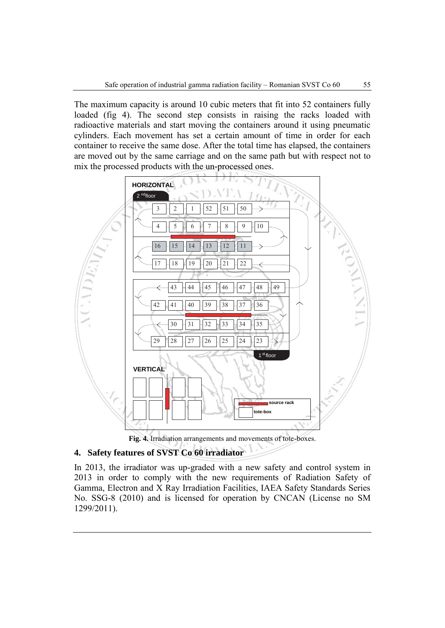The maximum capacity is around 10 cubic meters that fit into 52 containers fully loaded (fig 4). The second step consists in raising the racks loaded with radioactive materials and start moving the containers around it using pneumatic cylinders. Each movement has set a certain amount of time in order for each container to receive the same dose. After the total time has elapsed, the containers are moved out by the same carriage and on the same path but with respect not to mix the processed products with the un-processed ones.





## **4. Safety features of SVST Co 60 irradiator**

In 2013, the irradiator was up-graded with a new safety and control system in 2013 in order to comply with the new requirements of Radiation Safety of Gamma, Electron and X Ray Irradiation Facilities, IAEA Safety Standards Series No. SSG-8 (2010) and is licensed for operation by CNCAN (License no SM 1299/2011).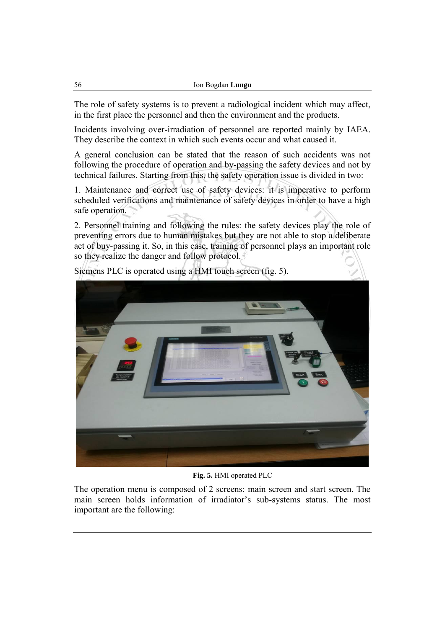The role of safety systems is to prevent a radiological incident which may affect, in the first place the personnel and then the environment and the products.

Incidents involving over-irradiation of personnel are reported mainly by IAEA. They describe the context in which such events occur and what caused it.

A general conclusion can be stated that the reason of such accidents was not following the procedure of operation and by-passing the safety devices and not by technical failures. Starting from this, the safety operation issue is divided in two:

1. Maintenance and correct use of safety devices: it is imperative to perform scheduled verifications and maintenance of safety devices in order to have a high safe operation.

2. Personnel training and following the rules: the safety devices play the role of preventing errors due to human mistakes but they are not able to stop a deliberate act of buy-passing it. So, in this case, training of personnel plays an important role so they realize the danger and follow protocol.



Siemens PLC is operated using a HMI touch screen (fig. 5).

**Fig. 5.** HMI operated PLC

The operation menu is composed of 2 screens: main screen and start screen. The main screen holds information of irradiator's sub-systems status. The most important are the following: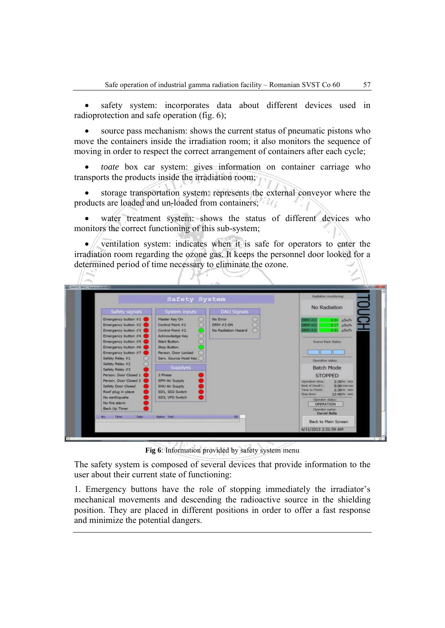safety system: incorporates data about different devices used in radioprotection and safe operation (fig. 6);

 source pass mechanism: shows the current status of pneumatic pistons who move the containers inside the irradiation room; it also monitors the sequence of moving in order to respect the correct arrangement of containers after each cycle;

 *toate* box car system: gives information on container carriage who transports the products inside the irradiation room;

 storage transportation system: represents the external conveyor where the products are loaded and un-loaded from containers;

 water treatment system: shows the status of different devices who monitors the correct functioning of this sub-system;

 ventilation system: indicates when it is safe for operators to enter the irradiation room regarding the ozone gas. It keeps the personnel door looked for a determined period of time necessary to eliminate the ozone.



**Fig 6**: Information provided by safety system menu

The safety system is composed of several devices that provide information to the user about their current state of functioning:

1. Emergency buttons have the role of stopping immediately the irradiator's mechanical movements and descending the radioactive source in the shielding position. They are placed in different positions in order to offer a fast response and minimize the potential dangers.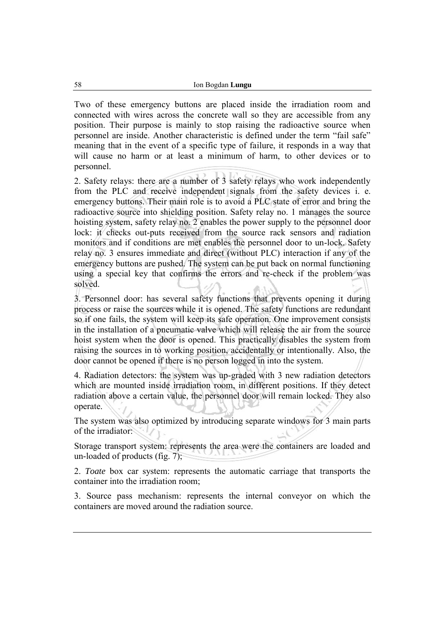Two of these emergency buttons are placed inside the irradiation room and connected with wires across the concrete wall so they are accessible from any position. Their purpose is mainly to stop raising the radioactive source when personnel are inside. Another characteristic is defined under the term "fail safe" meaning that in the event of a specific type of failure, it responds in a way that will cause no harm or at least a minimum of harm, to other devices or to personnel.

2. Safety relays: there are a number of 3 safety relays who work independently from the PLC and receive independent signals from the safety devices i. e. emergency buttons. Their main role is to avoid a PLC state of error and bring the radioactive source into shielding position. Safety relay no. 1 manages the source hoisting system, safety relay no. 2 enables the power supply to the personnel door lock: it checks out-puts received from the source rack sensors and radiation monitors and if conditions are met enables the personnel door to un-lock. Safety relay no. 3 ensures immediate and direct (without PLC) interaction if any of the emergency buttons are pushed. The system can be put back on normal functioning using a special key that confirms the errors and re-check if the problem was solved.

3. Personnel door: has several safety functions that prevents opening it during process or raise the sources while it is opened. The safety functions are redundant so if one fails, the system will keep its safe operation. One improvement consists in the installation of a pneumatic valve which will release the air from the source hoist system when the door is opened. This practically disables the system from raising the sources in to working position, accidentally or intentionally. Also, the door cannot be opened if there is no person logged in into the system.

4. Radiation detectors: the system was up-graded with 3 new radiation detectors which are mounted inside irradiation room, in different positions. If they detect radiation above a certain value, the personnel door will remain locked. They also operate.

The system was also optimized by introducing separate windows for 3 main parts of the irradiator:

Storage transport system: represents the area were the containers are loaded and un-loaded of products (fig. 7);

2. *Toate* box car system: represents the automatic carriage that transports the container into the irradiation room;

3. Source pass mechanism: represents the internal conveyor on which the containers are moved around the radiation source.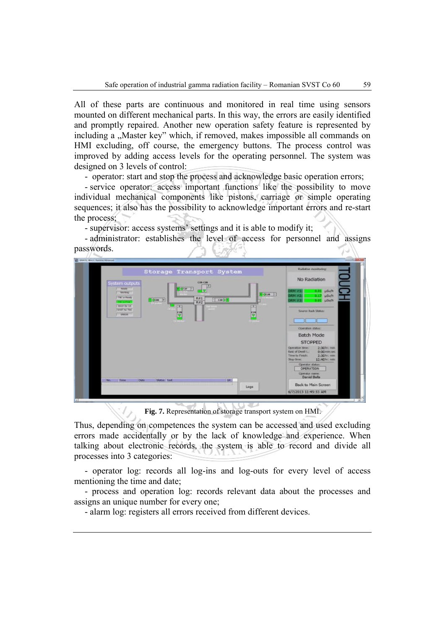All of these parts are continuous and monitored in real time using sensors mounted on different mechanical parts. In this way, the errors are easily identified and promptly repaired. Another new operation safety feature is represented by including a "Master key" which, if removed, makes impossible all commands on HMI excluding, off course, the emergency buttons. The process control was improved by adding access levels for the operating personnel. The system was designed on 3 levels of control:

- operator: start and stop the process and acknowledge basic operation errors;

- service operator: access important functions like the possibility to move individual mechanical components like pistons, carriage or simple operating sequences; it also has the possibility to acknowledge important errors and re-start the process;

- supervisor: access systems' settings and it is able to modify it;

- administrator: establishes the level of access for personnel and assigns passwords.



**Fig. 7.** Representation of storage transport system on HMI.

Thus, depending on competences the system can be accessed and used excluding errors made accidentally or by the lack of knowledge and experience. When talking about electronic records, the system is able to record and divide all processes into 3 categories:

- operator log: records all log-ins and log-outs for every level of access mentioning the time and date;

- process and operation log: records relevant data about the processes and assigns an unique number for every one;

- alarm log: registers all errors received from different devices.